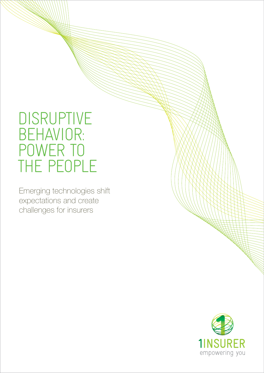# DISRUPTIVE BEHAVIOR: POWER TO THE PEOPLE

Emerging technologies shift expectations and create challenges for insurers

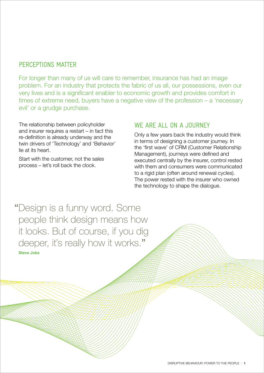## PERCEPTIONS MATTER

For longer than many of us will care to remember, insurance has had an image problem. For an industry that protects the fabric of us all, our possessions, even our very lives and is a significant enabler to economic growth and provides comfort in times of extreme need, buyers have a negative view of the profession – a 'necessary evil' or a grudge purchase.

The relationship between policyholder and insurer requires a restart – in fact this re-definition is already underway and the twin drivers of 'Technology' and 'Behavior' lie at its heart.

Start with the customer, not the sales process – let's roll back the clock.

### WE ARE ALL ON A JOURNEY

Only a few years back the industry would think in terms of designing a customer journey. In the 'first wave' of CRM (Customer Relationship Management), journeys were defined and executed centrally by the insurer, control rested with them and consumers were communicated to a rigid plan (often around renewal cycles). The power rested with the insurer who owned the technology to shape the dialogue.

"Design is a funny word. Some people think design means how it looks. But of course, if you dig deeper, it's really how it works." **Steve Jobs**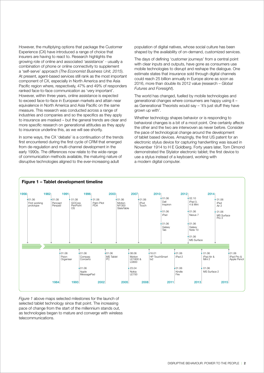However, the multiplying options that package the Customer Experience (CX) have introduced a range of choice that insurers are having to react to. Research highlights the growing role of online and associated 'assistance' - usually a combination of phone or online connectivity to supplement a 'self-serve' approach (*The Economist Business Unit, 2015*). At present, agent-based services still rank as the most important component of CX, especially in North America and the Asia Pacific region where, respectively, 47% and 49% of responders ranked face-to-face communication as 'very important'. However, within three years, online assistance is expected to exceed face-to-face in European markets and attain near equivalence in North America and Asia Pacific on the same measure. This research was conducted across a range of industries and companies and so the specifics as they apply to insurance are masked – but the general trends are clear and more specific research on generational attitudes as they apply to insurance underline this, as we will see shortly.

In some ways, the CX 'debate' is a continuation of the trends first encountered during the first cycle of CRM that emerged from de-regulation and multi-channel development in the early 1990s. The differences now relate to the wide-range of communication methods available, the maturing nature of disruptive technologies aligned to the ever-increasing adult

population of digital natives, whose social culture has been shaped by the availability of on-demand, customized services.

The days of defining 'customer journeys' from a central point with clear inputs and outputs, have gone as consumers use mobile technologies to disrupt and reshape the dialogue. One estimate states that insurance sold through digital channels could reach 25 billion annually in Europe alone as soon as 2016, more than double its 2012 value (research – *Global Futures and Foresight*).

The world has changed, fuelled by mobile technologies and generational changes where consumers are happy using it – as Generational Theorists would say – 'it's just stuff they have grown up with'.

Whether technology shapes behavior or is responding to behavioral changes is a bit of a moot point. One certainly affects the other and the two are interwoven as never before. Consider the pace of technological change around the development of tablet based devices. Amazingly, the first US patent for an electronic stylus device for capturing handwriting was issued in November 1914 to H E Goldberg. Forty years later, Tom Dimond demonstrated the Stylator electronic tablet; the first device to use a stylus instead of a keyboard, working with a modern digital computer.



*Figure 1* above maps selected milestones for the launch of selected tablet technology since that point. The increasing pace of change from the start of the millennium stands out, as technologies began to mature and converge with wireless telecommunications.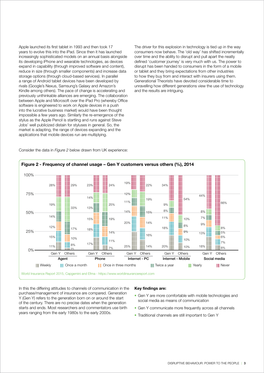Apple launched its first tablet in 1993 and then took 17 years to evolve this into the iPad. Since then it has launched increasingly sophisticated models on an annual basis alongside its developing iPhone and wearable technologies, as devices expand in capability (through improved software and content), reduce in size (through smaller components) and increase data storage options (through cloud-based services). In parallel a range of Android tablet devices have been developed by rivals (Google's Nexus, Samsung's Galaxy and Amazon's Kindle among others). The pace of change is accelerating and previously unthinkable alliances are emerging. The collaboration between Apple and Microsoft over the iPad Pro (whereby Office software is engineered to work on Apple devices in a push into the lucrative business market) would have been thought impossible a few years ago. Similarly the re-emergence of the stylus as the Apple Pencil is startling and runs against Steve Jobs' well publicized distain for styluses in general. So, the market is adapting, the range of devices expanding and the applications that mobile devices run are multiplying.

The driver for this explosion in technology is tied up in the way consumers now behave. The 'old way' has shifted incrementally over time and the ability to disrupt and pull apart the neatly defined 'customer journey' is very much with us. The power to disrupt has been handed to consumers in the form of a mobile or tablet and they bring expectations from other industries to how they buy from and interact with insurers using them. Generational Theorists have devoted considerable time to unravelling how different generations view the use of technology and the results are intriguing.

Consider the data in *Figure 2* below drawn from UK experience:



In this the differing attitudes to channels of communication in the purchase/management of insurance are compared. Generation Y (Gen Y) refers to the generation born on or around the start of the century. There are no precise dates when the generation starts and ends. Most researchers and commentators use birth years ranging from the early 1980s to the early 2000s.

#### **Key findings are:**

- Gen Y are more comfortable with mobile technologies and social media as means of communication
- Gen Y communicate more frequently across all channels
- Traditional channels are still important to Gen Y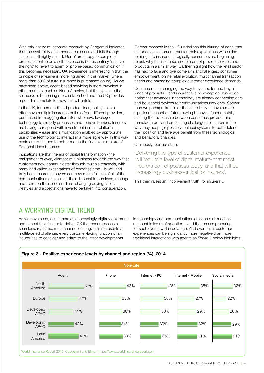With this last point, separate research by Capgemini indicates that the availability of someone to discuss and talk through issues is still highly valued. Gen Y are happy to complete processes online on a self-serve basis but essentially 'reserve the right' to revert to agent or phone-based communication if this becomes necessary. UK experience is interesting in that the principle of self-serve is more ingrained in this market (where more than 50% of auto insurance is purchased online). As we have seen above, agent-based servicing is more prevalent in other markets, such as North America, but the signs are that self-serve is becoming more established and the UK provides a possible template for how this will unfold.

In the UK, for commoditized product lines, policyholders often have multiple insurance policies from different providers, purchased from aggregation sites who have leveraged technology to simplify processes and remove barriers. Insurers are having to respond with investment in multi-platform capabilities – ease and simplification enabled by appropriate use of the technology to interact in a more agile way. In this way costs are re-shaped to better match the financial structure of Personal Lines business.

Indications are that the era of digital transformation - the realignment of every element of a business towards the way that customers now communicate: through multiple channels, with many and varied expectations of response time – is well and truly here. Insurance buyers can now make full use of all of the communications channels at their disposal to purchase, manage and claim on their policies. Their changing buying habits, lifestyles and expectations have to be taken into consideration.

Gartner research in the US underlines this blurring of consumer attitudes as customers transfer their experiences with online retailing into insurance. Logically consumers are beginning to ask why the insurance sector cannot provide services and products in a similar way. Gartner highlight how the retail sector has had to face and overcome similar challenges; consumer empowerment, online retail evolution, multichannel transaction needs and managing complex customer experience demands.

Consumers are changing the way they shop for and buy all kinds of products – and insurance is no exception. It is worth noting that advances in technology are already connecting cars and household devices to communications networks. Sooner than we perhaps first think, these are likely to have a more significant impact on future buying behavior, fundamentally altering the relationship between consumer, provider and manufacturer – and presenting challenges to insurers in the way they adapt (or possibly replace) systems to both defend their position and leverage benefit from these technological and behavioral changes.

#### Ominously, Gartner state:

'Delivering this type of customer experience will require a level of digital maturity that most insurers do not possess today, and that will be increasingly business-critical for insurers'.

This then raises an 'inconvenient truth' for insurers…

## A WORRYING DIGITAL TREND

As we have seen, consumers are increasingly digitally dexterous and expect their insurer to deliver CX that encompasses a seamless, real-time, multi-channel offering. This represents a multifaceted challenge; every customer-facing function of an insurer has to consider and adapt to the latest developments

in technology and communications as soon as it reaches reasonable levels of adoption – and that means preparing for such events well in advance. And even then, customer experiences can be significantly more negative than more traditional interactions with agents as *Figure 3* below highlights:

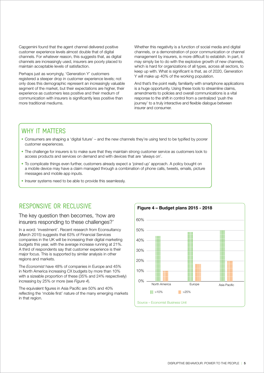Capgemini found that the agent channel delivered positive customer experience levels almost double that of digital channels. For whatever reason, this suggests that, as digital channels are increasingly used, insurers are poorly placed to maintain acceptable levels of satisfaction.

Perhaps just as worryingly, 'Generation Y' customers registered a steeper drop in customer experience levels; not only does this demographic represent an increasingly valuable segment of the market, but their expectations are higher, their experience as customers less positive and their medium of communication with insurers is significantly less positive than more traditional mediums.

Whether this negativity is a function of social media and digital channels, or a demonstration of poor communication or channel management by insurers, is more difficult to establish. In part, it may simply be to do with the explosive growth of new channels, which is hard for organizations of all types, across all sectors, to keep up with. What is significant is that, as of 2020, Generation Y will make up 40% of the working population.

And that's the point really, familiarity with smartphone applications is a huge opportunity. Using these tools to streamline claims, amendments to policies and overall communications is a vital response to the shift in control from a centralized 'push the journey' to a truly interactive and flexible dialogue between insurer and consumer.

# WHY IT MATTERS

- Consumers are shaping a 'digital future' and the new channels they're using tend to be typified by poorer customer experiences.
- The challenge for insurers is to make sure that they maintain strong customer service as customers look to access products and services on demand and with devices that are 'always on'.
- To complicate things even further, customers already expect a 'joined up' approach. A policy bought on a mobile device may have a claim managed through a combination of phone calls, tweets, emails, picture messages and mobile app inputs.
- Insurer systems need to be able to provide this seamlessly.

# RESPONSIVE OR RECLUSIVE

#### The key question then becomes, 'how are insurers responding to these challenges?'

In a word: 'investment'. Recent research from Econsultancy (March 2015) suggests that 63% of Financial Services companies in the UK will be increasing their digital marketing budgets this year, with the average increase running at 21%. A third of respondents say that customer experience is their major focus. This is supported by similar analysis in other regions and markets.

The *Economist* have 48% of companies in Europe and 45% in North America increasing CX budgets by more than 10% with a sizeable proportion of these (35% and 24% respectively) increasing by 25% or more (see *Figure 4*).

The equivalent figures in Asia Pacific are 50% and 40% reflecting the 'mobile first' nature of the many emerging markets in that region.

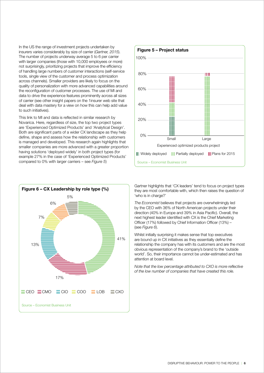In the US the range of investment projects undertaken by insurers varies considerably by size of carrier (*Gartner, 2015*). The number of projects underway average 5 to 6 per carrier with larger companies (those with 10,000 employees or more) not surprisingly, prioritizing projects that improve the efficiency of handling large numbers of customer interactions (self-service tools, single view of the customer and process optimization across channels). Smaller providers are likely to focus on the quality of personalization with more advanced capabilities around the reconfiguration of customer processes. The use of MI and data to drive the experience features prominently across all sizes of carrier (see other insight papers on the 1insurer web site that deal with data mastery for a view on how this can help add value to such initiatives).

This link to MI and data is reflected in similar research by Novarica. Here, regardless of size, the top two project types are 'Experienced Optimized Products' and 'Analytical Design'. Both are significant parts of a wider CX landscape as they help define, shape and assess how the relationship with customers is managed and developed. This research again highlights that smaller companies are more advanced with a greater proportion having solutions 'deployed widely' in both project types (for example 27% in the case of 'Experienced Optimized Products' compared to 0% with larger carriers – see *Figure 5*)





Gartner highlights that 'CX leaders' tend to focus on project types they are most comfortable with, which then raises the question of 'who is in charge?'

*The Economist* believes that projects are overwhelmingly led by the CEO with 36% of North American projects under their direction (40% in Europe and 39% in Asia Pacific). Overall, the next highest leader identified with CX is the Chief Marketing Officer (17%) followed by Chief Information Officer (13%) – (see *Figure 6*).

Whilst initially surprising it makes sense that top executives are bound up in CX initiatives as they essentially define the relationship the company has with its customers and are the most obvious representation of the company's brand to the 'outside world'. So, their importance cannot be under-estimated and has attention at board level.

*Note that the low percentage attributed to CXO is more reflective of the low number of companies that have created this role.*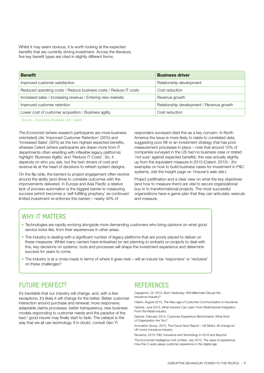Whilst it may seem obvious, it is worth looking at the expected benefits that are currently driving investment. Across the literature, five key benefit types are cited in slightly different forms:

| <b>Benefit</b>                                                    | <b>Business driver</b>                    |
|-------------------------------------------------------------------|-------------------------------------------|
| Improved customer satisfaction                                    | Relationship development                  |
| Reduced operating costs / Reduce business costs / Reduce IT costs | Cost reduction                            |
| Increased sales / Increasing revenue / Entering new markets       | Revenue growth                            |
| Improved customer retention                                       | Relationship development / Revenue growth |
| Lower cost of customer acquisition / Business agility             | Cost reduction                            |

Source – Economist Business Unit; Celent

*The Economist* (where research participants are more business orientated) cite 'Improved Customer Retention' (35%) and 'Increased Sales' (30%) as the two highest expected benefits, whereas Celent (where participants are drawn more from IT departments often wrestling with inflexible legacy platforms) highlight 'Business Agility' and 'Reduce IT Costs'. So, it depends on who you ask, but the twin drivers of cost and revenue lie at the heart of decisions to refresh system designs.

On the flip-side, the barriers to project engagement often revolve around the ability (and drive) to correlate outcomes with the improvements delivered. In Europe and Asia Pacific a relative lack of process automation is the biggest barrier to measuring success (which becomes a 'self-fulfilling prophecy' as continued limited investment re-enforces this barrier) – nearly 40% of

responders surveyed cited this as a key concern. In North America the issue is more likely to relate to correlated data, suggesting poor MI or an investment strategy that has poor measurement processes in place – note that around 10% of companies surveyed in the US had no business case or stated 'not sure' against expected benefits; this was actually slightly up from the equivalent measure in 2010 (Celent, 2015) - (for examples on how to build business cases for investment in P&C systems, visit the Insight page on 1insurer's web site.)

Project justification and a clear view on what the key objectives (and how to measure them) are vital to secure organizational buy-in to transformational projects. The most successful organizations have a game-plan that they can articulate, execute and measure.

# WHY IT MATTFRS

- Technologies are rapidly evolving alongside more demanding customers who bring opinions on what good service looks like, from their experiences in other areas.
- The industry is dealing with a significant number of legacy platforms that are poorly placed to deliver on these measures. Whilst many carriers have embarked (or are planning to embark) on projects to deal with this, key decisions on systems, tools and processes will shape the investment experience and determine success for years to come.
- The industry is at a cross-roads in terms of where it goes next will an insurer be 'responsive' or 'reclusive' on these challenges?

# FUTURE PERFECT?

It's inevitable that our industry will change, and, with a few exceptions, it's likely it will change for the better. Better customer interaction around purchase and renewal, more responsive, adaptable claims processes, better transparency, new business models responding to customer needs and the paradox of the bad / good insurer may finally start to fade. The catalyst is the way that we all use technology. If in doubt, consult Gen Y!

## **REFERENCES**

Capgemini, Q1 2015, Born Yesterday: Will Millennials Disrupt the Insurance Industry?

Celent, August 2015, The New age of Customer Communication in Insurance Gartner, June 2015, What Insurers Can Learn From Multichannel Integration From the Retail Industry

Gartner, February 2015, Customer Experience Benchmarks: What Kind of Organization Are You?

Innovation Group, 2015, The Future Now Report – UK Motor, All change for UK motor insurance industry

Novarica, 2015, P&C Insurance and Technology in 2016 and Beyond

The Economist Intelligence Unit Limited, July 2015, The value of experience: How the C-suite values customer experience in the digital age